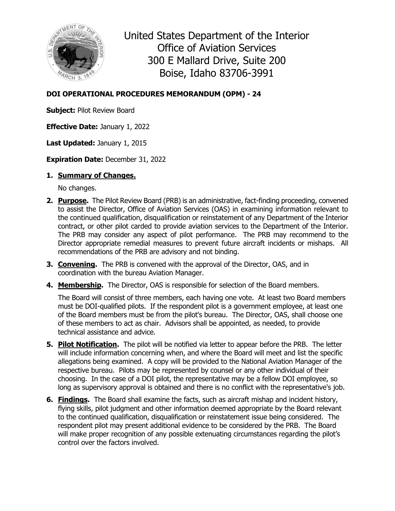

United States Department of the Interior Office of Aviation Services 300 E Mallard Drive, Suite 200 Boise, Idaho 83706-3991

## **DOI OPERATIONAL PROCEDURES MEMORANDUM (OPM) - 24**

**Subject:** Pilot Review Board

**Effective Date:** January 1, 2022

**Last Updated:** January 1, 2015

**Expiration Date:** December 31, 2022

## **1. Summary of Changes.**

No changes.

- **2. Purpose.** The Pilot Review Board (PRB) is an administrative, fact-finding proceeding, convened to assist the Director, Office of Aviation Services (OAS) in examining information relevant to the continued qualification, disqualification or reinstatement of any Department of the Interior contract, or other pilot carded to provide aviation services to the Department of the Interior. The PRB may consider any aspect of pilot performance. The PRB may recommend to the Director appropriate remedial measures to prevent future aircraft incidents or mishaps. All recommendations of the PRB are advisory and not binding.
- **3. Convening.** The PRB is convened with the approval of the Director, OAS, and in coordination with the bureau Aviation Manager.
- **4. Membership.** The Director, OAS is responsible for selection of the Board members.

The Board will consist of three members, each having one vote. At least two Board members must be DOI-qualified pilots. If the respondent pilot is a government employee, at least one of the Board members must be from the pilot's bureau. The Director, OAS, shall choose one of these members to act as chair. Advisors shall be appointed, as needed, to provide technical assistance and advice.

- **5. Pilot Notification.** The pilot will be notified via letter to appear before the PRB. The letter will include information concerning when, and where the Board will meet and list the specific allegations being examined. A copy will be provided to the National Aviation Manager of the respective bureau. Pilots may be represented by counsel or any other individual of their choosing. In the case of a DOI pilot, the representative may be a fellow DOI employee, so long as supervisory approval is obtained and there is no conflict with the representative's job.
- **6. Findings.** The Board shall examine the facts, such as aircraft mishap and incident history, flying skills, pilot judgment and other information deemed appropriate by the Board relevant to the continued qualification, disqualification or reinstatement issue being considered. The respondent pilot may present additional evidence to be considered by the PRB. The Board will make proper recognition of any possible extenuating circumstances regarding the pilot's control over the factors involved.